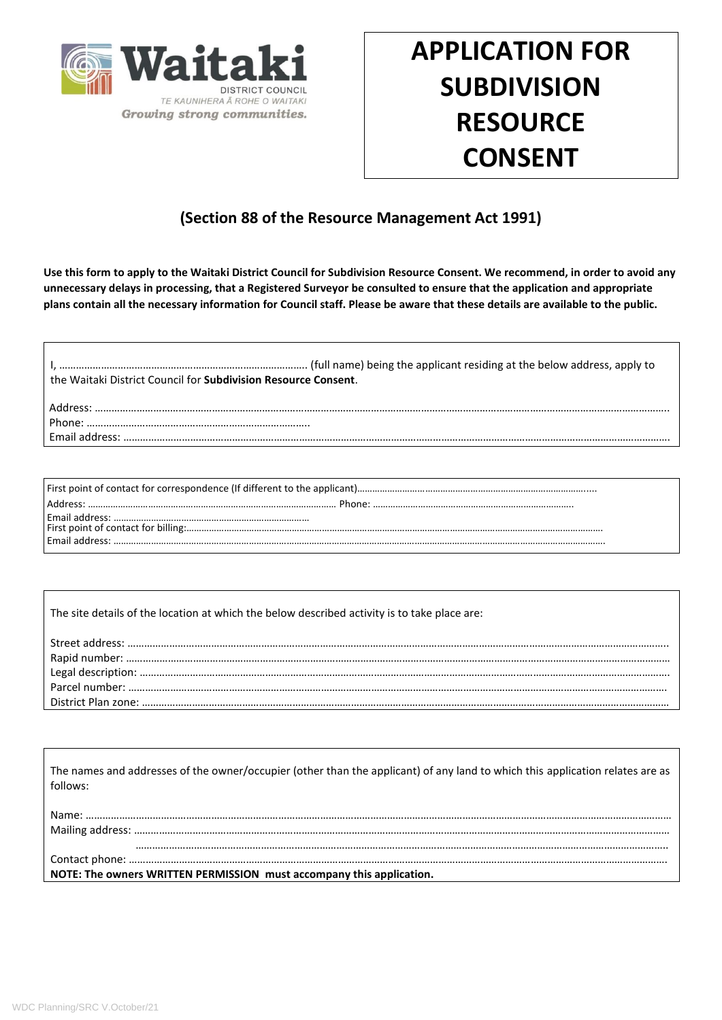

# **APPLICATION FOR SUBDIVISION RESOURCE CONSENT**

## **(Section 88 of the Resource Management Act 1991)**

**Use this form to apply to the Waitaki District Council for Subdivision Resource Consent. We recommend, in order to avoid any unnecessary delays in processing, that a Registered Surveyor be consulted to ensure that the application and appropriate plans contain all the necessary information for Council staff. Please be aware that these details are available to the public.** 

| the Waitaki District Council for <b>Subdivision Resource Consent</b> . |
|------------------------------------------------------------------------|
| sandrecs.                                                              |
| Phone <sup>.</sup>                                                     |
|                                                                        |
|                                                                        |

First point of contact for correspondence (If different to the applicant)………………………………………………………………………………..... Address: ……………………………………………………………………………………… Phone: …………………………………………………………………….. Email address: …………………………………………………………………… First point of contact for billing:…………………………………………………………………………………………………………………………………………………. Email address: …………………………………………………………………………………………………………………………………………………………………………….

The site details of the location at which the below described activity is to take place are:

| The names and addresses of the owner/occupier (other than the applicant) of any land to which this application relates are as |  |  |  |
|-------------------------------------------------------------------------------------------------------------------------------|--|--|--|
| follows:                                                                                                                      |  |  |  |
|                                                                                                                               |  |  |  |
|                                                                                                                               |  |  |  |
|                                                                                                                               |  |  |  |
|                                                                                                                               |  |  |  |
| NOTE: The owners WRITTEN PERMISSION must accompany this application.                                                          |  |  |  |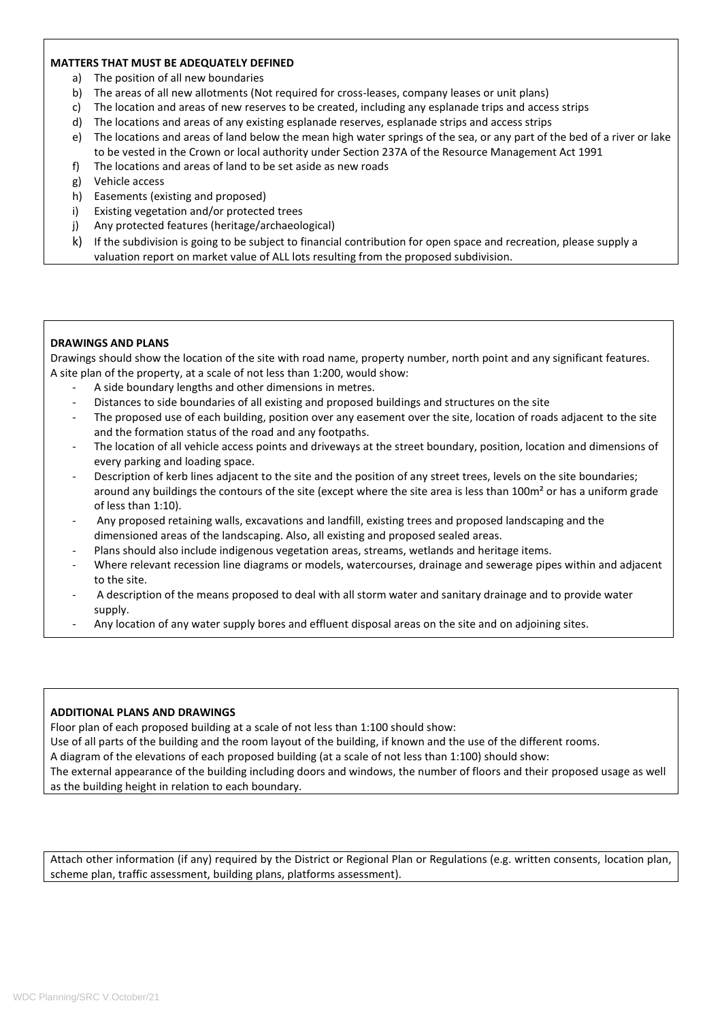### **MATTERS THAT MUST BE ADEQUATELY DEFINED**

- a) The position of all new boundaries
- b) The areas of all new allotments (Not required for cross-leases, company leases or unit plans)
- c) The location and areas of new reserves to be created, including any esplanade trips and access strips
- d) The locations and areas of any existing esplanade reserves, esplanade strips and access strips
- e) The locations and areas of land below the mean high water springs of the sea, or any part of the bed of a river or lake to be vested in the Crown or local authority under Section 237A of the Resource Management Act 1991
- f) The locations and areas of land to be set aside as new roads
- g) Vehicle access
- h) Easements (existing and proposed)
- i) Existing vegetation and/or protected trees
- j) Any protected features (heritage/archaeological)
- k) If the subdivision is going to be subject to financial contribution for open space and recreation, please supply a valuation report on market value of ALL lots resulting from the proposed subdivision.

## **DRAWINGS AND PLANS**

Drawings should show the location of the site with road name, property number, north point and any significant features. A site plan of the property, at a scale of not less than 1:200, would show:

- A side boundary lengths and other dimensions in metres.
- Distances to side boundaries of all existing and proposed buildings and structures on the site
- The proposed use of each building, position over any easement over the site, location of roads adjacent to the site and the formation status of the road and any footpaths.
- The location of all vehicle access points and driveways at the street boundary, position, location and dimensions of every parking and loading space.
- Description of kerb lines adjacent to the site and the position of any street trees, levels on the site boundaries; around any buildings the contours of the site (except where the site area is less than 100m<sup>2</sup> or has a uniform grade of less than 1:10).
- Any proposed retaining walls, excavations and landfill, existing trees and proposed landscaping and the dimensioned areas of the landscaping. Also, all existing and proposed sealed areas.
- Plans should also include indigenous vegetation areas, streams, wetlands and heritage items.
- Where relevant recession line diagrams or models, watercourses, drainage and sewerage pipes within and adjacent to the site.
- A description of the means proposed to deal with all storm water and sanitary drainage and to provide water supply.
- Any location of any water supply bores and effluent disposal areas on the site and on adjoining sites.

#### **ADDITIONAL PLANS AND DRAWINGS**

Floor plan of each proposed building at a scale of not less than 1:100 should show:

Use of all parts of the building and the room layout of the building, if known and the use of the different rooms.

A diagram of the elevations of each proposed building (at a scale of not less than 1:100) should show:

The external appearance of the building including doors and windows, the number of floors and their proposed usage as well as the building height in relation to each boundary.

Attach other information (if any) required by the District or Regional Plan or Regulations (e.g. written consents, location plan, scheme plan, traffic assessment, building plans, platforms assessment).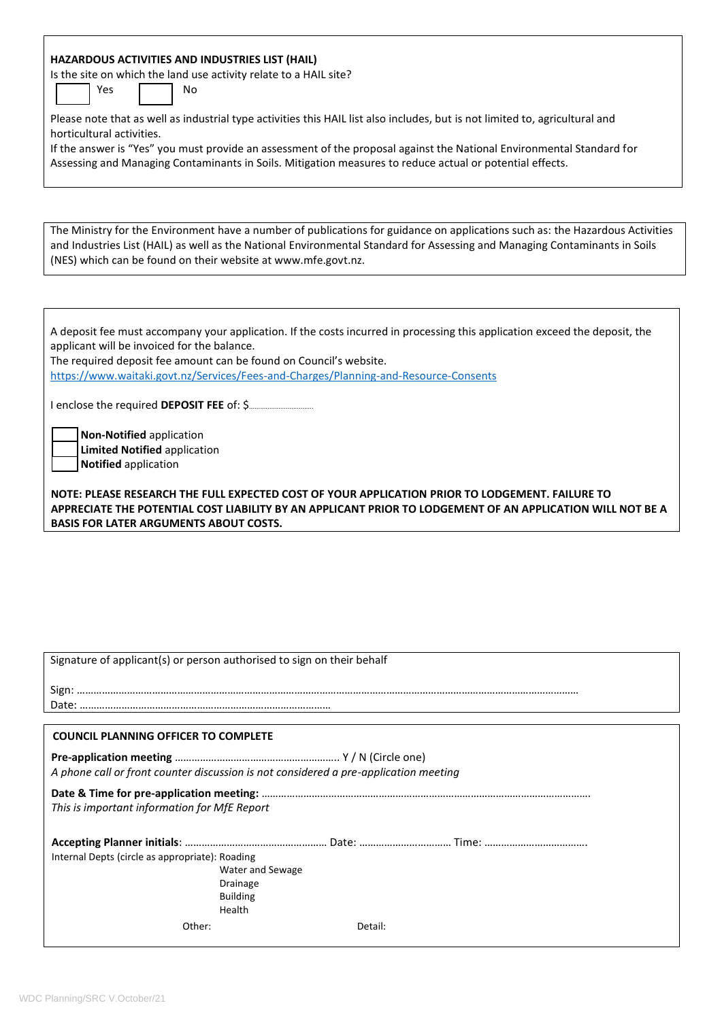| HAZARDOUS ACTIVITIES AND INDUSTRIES LIST (HAIL)                                                                               |
|-------------------------------------------------------------------------------------------------------------------------------|
| Is the site on which the land use activity relate to a HAIL site?                                                             |
| Yes<br>No                                                                                                                     |
|                                                                                                                               |
| Please note that as well as industrial type activities this HAIL list also includes, but is not limited to, agricultural and  |
| horticultural activities.                                                                                                     |
|                                                                                                                               |
| If the answer is "Yes" you must provide an assessment of the proposal against the National Environmental Standard for         |
| Assessing and Managing Contaminants in Soils. Mitigation measures to reduce actual or potential effects.                      |
|                                                                                                                               |
|                                                                                                                               |
|                                                                                                                               |
|                                                                                                                               |
| The Ministry for the Environment have a number of publications for guidance on applications such as: the Hazardous Activities |
| and Industries List (HAIL) as well as the National Environmental Standard for Assessing and Managing Contaminants in Soils    |
| (NES) which can be found on their website at www.mfe.govt.nz.                                                                 |
|                                                                                                                               |
|                                                                                                                               |
|                                                                                                                               |
|                                                                                                                               |
| A deposit fee must accompany your application. If the costs incurred in processing this application exceed the deposit, the   |
| applicant will be invoiced for the balance.                                                                                   |
| The required deposit fee amount can be found on Council's website.                                                            |
|                                                                                                                               |
| https://www.waitaki.govt.nz/Services/Fees-and-Charges/Planning-and-Resource-Consents                                          |
|                                                                                                                               |
|                                                                                                                               |
|                                                                                                                               |
| Non-Notified application                                                                                                      |
| <b>Limited Notified application</b>                                                                                           |
| Notified application                                                                                                          |
|                                                                                                                               |
|                                                                                                                               |
|                                                                                                                               |
| NOTE: PLEASE RESEARCH THE FULL EXPECTED COST OF YOUR APPLICATION PRIOR TO LODGEMENT. FAILURE TO                               |
| APPRECIATE THE POTENTIAL COST LIABILITY BY AN APPLICANT PRIOR TO LODGEMENT OF AN APPLICATION WILL NOT BE A                    |
| <b>BASIS FOR LATER ARGUMENTS ABOUT COSTS.</b>                                                                                 |
|                                                                                                                               |
|                                                                                                                               |
|                                                                                                                               |
|                                                                                                                               |
|                                                                                                                               |
|                                                                                                                               |
|                                                                                                                               |
|                                                                                                                               |
|                                                                                                                               |
|                                                                                                                               |
| Signature of applicant(s) or person authorised to sign on their behalf                                                        |
|                                                                                                                               |
|                                                                                                                               |
|                                                                                                                               |
|                                                                                                                               |
| <b>COUNCIL PLANNING OFFICER TO COMPLETE</b>                                                                                   |
|                                                                                                                               |
|                                                                                                                               |
| A phone call or front counter discussion is not considered a pre-application meeting                                          |
|                                                                                                                               |
|                                                                                                                               |
| This is important information for MfE Report                                                                                  |
|                                                                                                                               |
|                                                                                                                               |
| Internal Depts (circle as appropriate): Roading                                                                               |
| Water and Sewage                                                                                                              |
| <b>Drainage</b>                                                                                                               |
| <b>Building</b>                                                                                                               |
| Health                                                                                                                        |
|                                                                                                                               |
| Other:<br>Detail:                                                                                                             |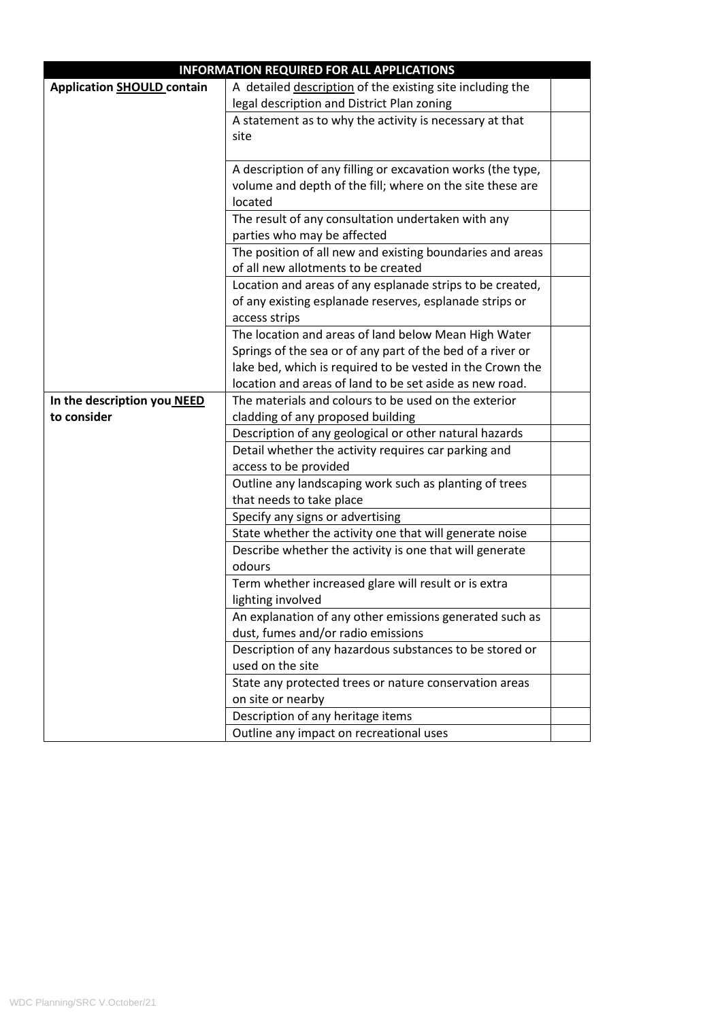| <b>INFORMATION REQUIRED FOR ALL APPLICATIONS</b> |                                                             |  |  |
|--------------------------------------------------|-------------------------------------------------------------|--|--|
| <b>Application SHOULD contain</b>                | A detailed description of the existing site including the   |  |  |
|                                                  | legal description and District Plan zoning                  |  |  |
|                                                  | A statement as to why the activity is necessary at that     |  |  |
|                                                  | site                                                        |  |  |
|                                                  |                                                             |  |  |
|                                                  | A description of any filling or excavation works (the type, |  |  |
|                                                  | volume and depth of the fill; where on the site these are   |  |  |
|                                                  | located                                                     |  |  |
|                                                  | The result of any consultation undertaken with any          |  |  |
|                                                  | parties who may be affected                                 |  |  |
|                                                  | The position of all new and existing boundaries and areas   |  |  |
|                                                  | of all new allotments to be created                         |  |  |
|                                                  | Location and areas of any esplanade strips to be created,   |  |  |
|                                                  | of any existing esplanade reserves, esplanade strips or     |  |  |
|                                                  | access strips                                               |  |  |
|                                                  | The location and areas of land below Mean High Water        |  |  |
|                                                  | Springs of the sea or of any part of the bed of a river or  |  |  |
|                                                  | lake bed, which is required to be vested in the Crown the   |  |  |
|                                                  | location and areas of land to be set aside as new road.     |  |  |
| In the description you NEED                      | The materials and colours to be used on the exterior        |  |  |
| to consider                                      | cladding of any proposed building                           |  |  |
|                                                  | Description of any geological or other natural hazards      |  |  |
|                                                  | Detail whether the activity requires car parking and        |  |  |
|                                                  | access to be provided                                       |  |  |
|                                                  | Outline any landscaping work such as planting of trees      |  |  |
|                                                  | that needs to take place                                    |  |  |
|                                                  | Specify any signs or advertising                            |  |  |
|                                                  | State whether the activity one that will generate noise     |  |  |
|                                                  | Describe whether the activity is one that will generate     |  |  |
|                                                  | odours                                                      |  |  |
|                                                  | Term whether increased glare will result or is extra        |  |  |
|                                                  | lighting involved                                           |  |  |
|                                                  | An explanation of any other emissions generated such as     |  |  |
|                                                  | dust, fumes and/or radio emissions                          |  |  |
|                                                  | Description of any hazardous substances to be stored or     |  |  |
|                                                  | used on the site                                            |  |  |
|                                                  | State any protected trees or nature conservation areas      |  |  |
|                                                  | on site or nearby                                           |  |  |
|                                                  | Description of any heritage items                           |  |  |
|                                                  | Outline any impact on recreational uses                     |  |  |